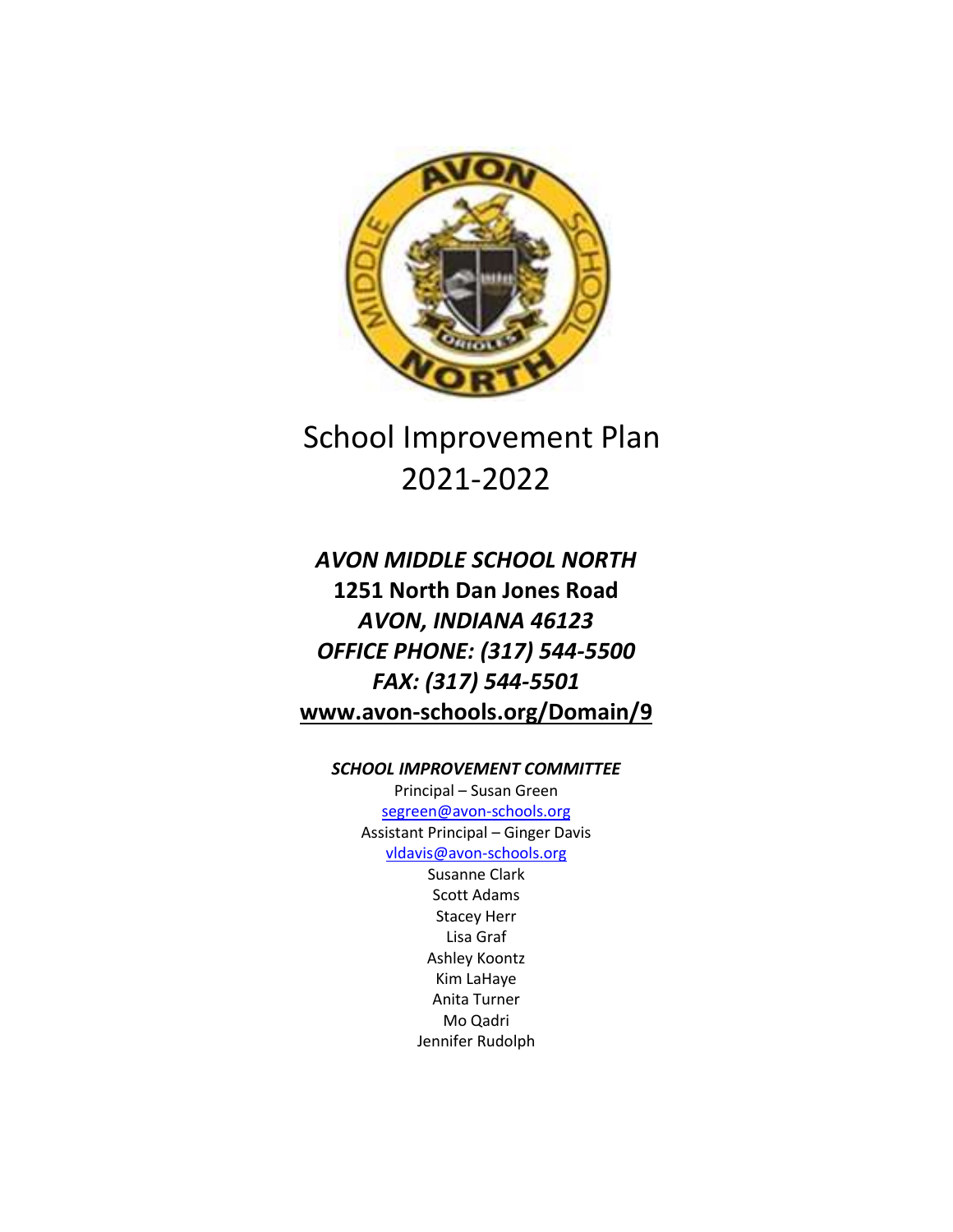

# School Improvement Plan 2021-2022

## *AVON MIDDLE SCHOOL NORTH* **1251 North Dan Jones Road** *AVON, INDIANA 46123 OFFICE PHONE: (317) 544-5500 FAX: (317) 544-5501* **[www.avon-schools.org/Domain/9](http://www.avon-schools.org/Domain/9)**

#### *SCHOOL IMPROVEMENT COMMITTEE*

Principal – Susan Green [segreen@avon-schools.org](mailto:segreen@avon-schools.org) Assistant Principal – Ginger Davis [vldavis@avon-schools.org](mailto:vldavis@avon-schools.org) Susanne Clark Scott Adams Stacey Herr Lisa Graf Ashley Koontz Kim LaHaye Anita Turner Mo Qadri Jennifer Rudolph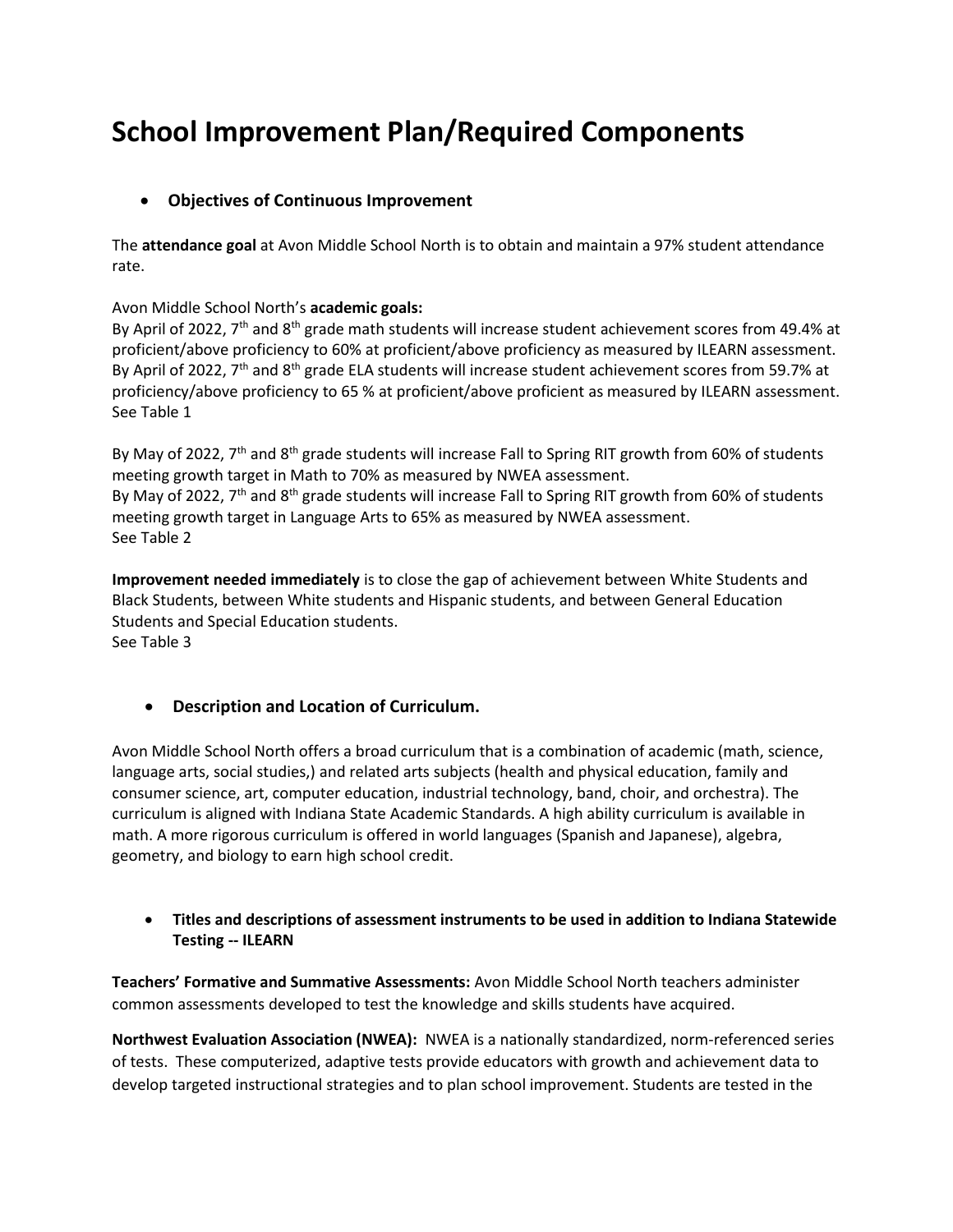# **School Improvement Plan/Required Components**

#### **Objectives of Continuous Improvement**

The **attendance goal** at Avon Middle School North is to obtain and maintain a 97% student attendance rate.

Avon Middle School North's **academic goals:**

By April of 2022, 7<sup>th</sup> and 8<sup>th</sup> grade math students will increase student achievement scores from 49.4% at proficient/above proficiency to 60% at proficient/above proficiency as measured by ILEARN assessment. By April of 2022, 7<sup>th</sup> and 8<sup>th</sup> grade ELA students will increase student achievement scores from 59.7% at proficiency/above proficiency to 65 % at proficient/above proficient as measured by ILEARN assessment. See Table 1

By May of 2022,  $7<sup>th</sup>$  and 8<sup>th</sup> grade students will increase Fall to Spring RIT growth from 60% of students meeting growth target in Math to 70% as measured by NWEA assessment. By May of 2022, 7<sup>th</sup> and 8<sup>th</sup> grade students will increase Fall to Spring RIT growth from 60% of students meeting growth target in Language Arts to 65% as measured by NWEA assessment. See Table 2

**Improvement needed immediately** is to close the gap of achievement between White Students and Black Students, between White students and Hispanic students, and between General Education Students and Special Education students. See Table 3

#### **Description and Location of Curriculum.**

Avon Middle School North offers a broad curriculum that is a combination of academic (math, science, language arts, social studies,) and related arts subjects (health and physical education, family and consumer science, art, computer education, industrial technology, band, choir, and orchestra). The curriculum is aligned with Indiana State Academic Standards. A high ability curriculum is available in math. A more rigorous curriculum is offered in world languages (Spanish and Japanese), algebra, geometry, and biology to earn high school credit.

#### **Titles and descriptions of assessment instruments to be used in addition to Indiana Statewide Testing -- ILEARN**

**Teachers' Formative and Summative Assessments:** Avon Middle School North teachers administer common assessments developed to test the knowledge and skills students have acquired.

**Northwest Evaluation Association (NWEA):** NWEA is a nationally standardized, norm-referenced series of tests. These computerized, adaptive tests provide educators with growth and achievement data to develop targeted instructional strategies and to plan school improvement. Students are tested in the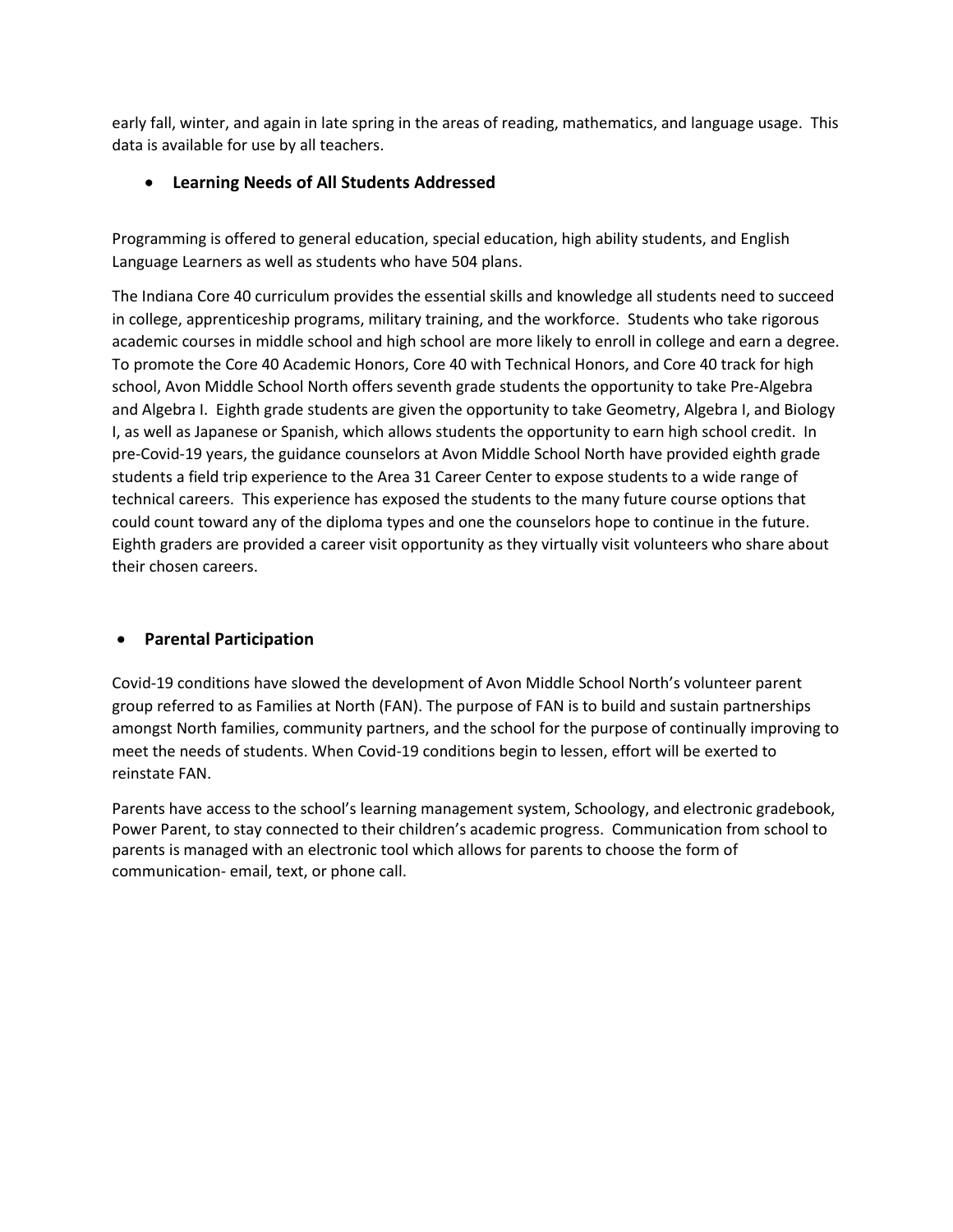early fall, winter, and again in late spring in the areas of reading, mathematics, and language usage. This data is available for use by all teachers.

#### **Learning Needs of All Students Addressed**

Programming is offered to general education, special education, high ability students, and English Language Learners as well as students who have 504 plans.

The Indiana Core 40 curriculum provides the essential skills and knowledge all students need to succeed in college, apprenticeship programs, military training, and the workforce. Students who take rigorous academic courses in middle school and high school are more likely to enroll in college and earn a degree. To promote the Core 40 Academic Honors, Core 40 with Technical Honors, and Core 40 track for high school, Avon Middle School North offers seventh grade students the opportunity to take Pre-Algebra and Algebra I. Eighth grade students are given the opportunity to take Geometry, Algebra I, and Biology I, as well as Japanese or Spanish, which allows students the opportunity to earn high school credit. In pre-Covid-19 years, the guidance counselors at Avon Middle School North have provided eighth grade students a field trip experience to the Area 31 Career Center to expose students to a wide range of technical careers. This experience has exposed the students to the many future course options that could count toward any of the diploma types and one the counselors hope to continue in the future. Eighth graders are provided a career visit opportunity as they virtually visit volunteers who share about their chosen careers.

#### **Parental Participation**

Covid-19 conditions have slowed the development of Avon Middle School North's volunteer parent group referred to as Families at North (FAN). The purpose of FAN is to build and sustain partnerships amongst North families, community partners, and the school for the purpose of continually improving to meet the needs of students. When Covid-19 conditions begin to lessen, effort will be exerted to reinstate FAN.

Parents have access to the school's learning management system, Schoology, and electronic gradebook, Power Parent, to stay connected to their children's academic progress. Communication from school to parents is managed with an electronic tool which allows for parents to choose the form of communication- email, text, or phone call.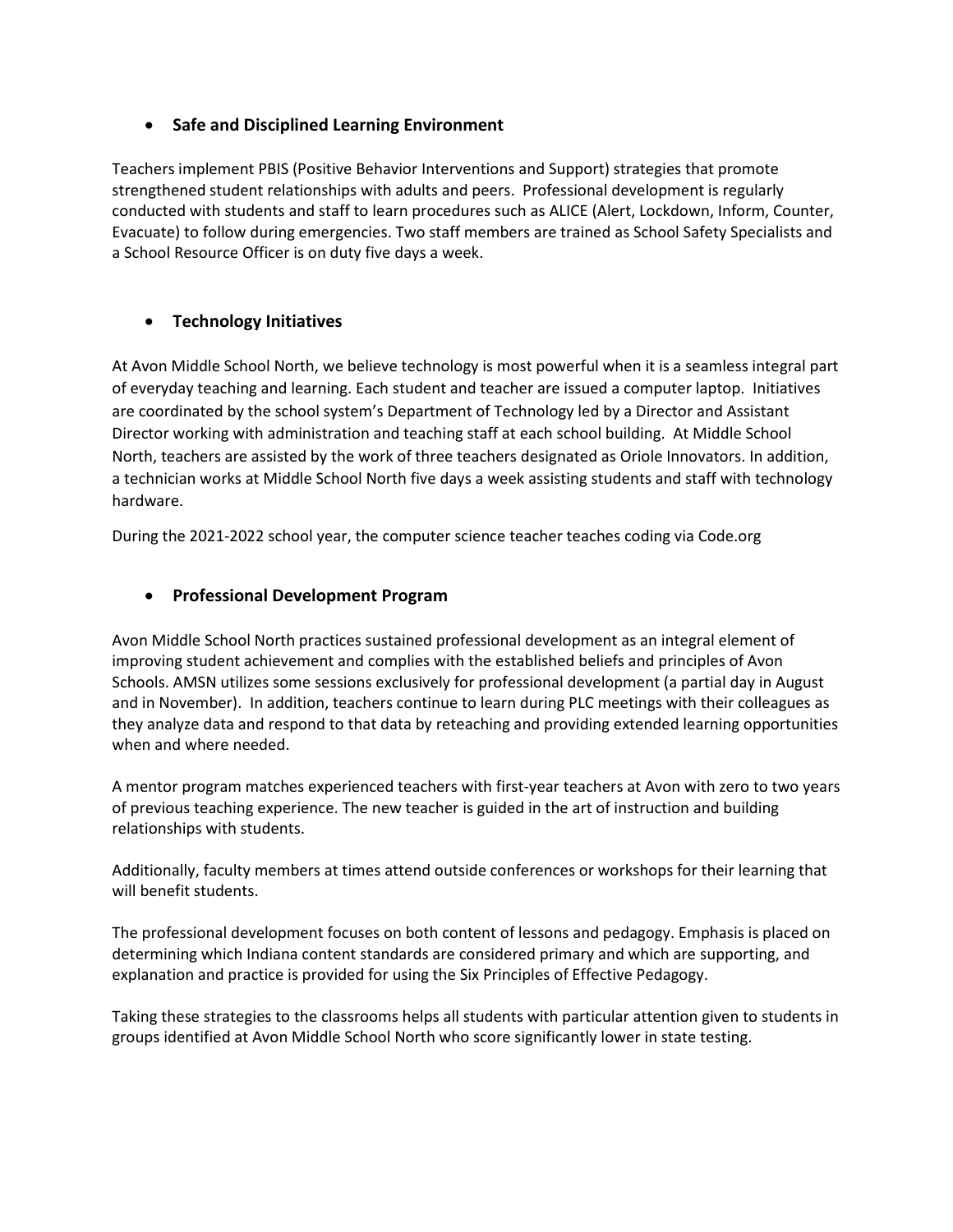#### **Safe and Disciplined Learning Environment**

Teachers implement PBIS (Positive Behavior Interventions and Support) strategies that promote strengthened student relationships with adults and peers. Professional development is regularly conducted with students and staff to learn procedures such as ALICE (Alert, Lockdown, Inform, Counter, Evacuate) to follow during emergencies. Two staff members are trained as School Safety Specialists and a School Resource Officer is on duty five days a week.

#### **Technology Initiatives**

At Avon Middle School North, we believe technology is most powerful when it is a seamless integral part of everyday teaching and learning. Each student and teacher are issued a computer laptop. Initiatives are coordinated by the school system's Department of Technology led by a Director and Assistant Director working with administration and teaching staff at each school building. At Middle School North, teachers are assisted by the work of three teachers designated as Oriole Innovators. In addition, a technician works at Middle School North five days a week assisting students and staff with technology hardware.

During the 2021-2022 school year, the computer science teacher teaches coding via Code.org

#### **Professional Development Program**

Avon Middle School North practices sustained professional development as an integral element of improving student achievement and complies with the established beliefs and principles of Avon Schools. AMSN utilizes some sessions exclusively for professional development (a partial day in August and in November). In addition, teachers continue to learn during PLC meetings with their colleagues as they analyze data and respond to that data by reteaching and providing extended learning opportunities when and where needed.

A mentor program matches experienced teachers with first-year teachers at Avon with zero to two years of previous teaching experience. The new teacher is guided in the art of instruction and building relationships with students.

Additionally, faculty members at times attend outside conferences or workshops for their learning that will benefit students.

The professional development focuses on both content of lessons and pedagogy. Emphasis is placed on determining which Indiana content standards are considered primary and which are supporting, and explanation and practice is provided for using the Six Principles of Effective Pedagogy.

Taking these strategies to the classrooms helps all students with particular attention given to students in groups identified at Avon Middle School North who score significantly lower in state testing.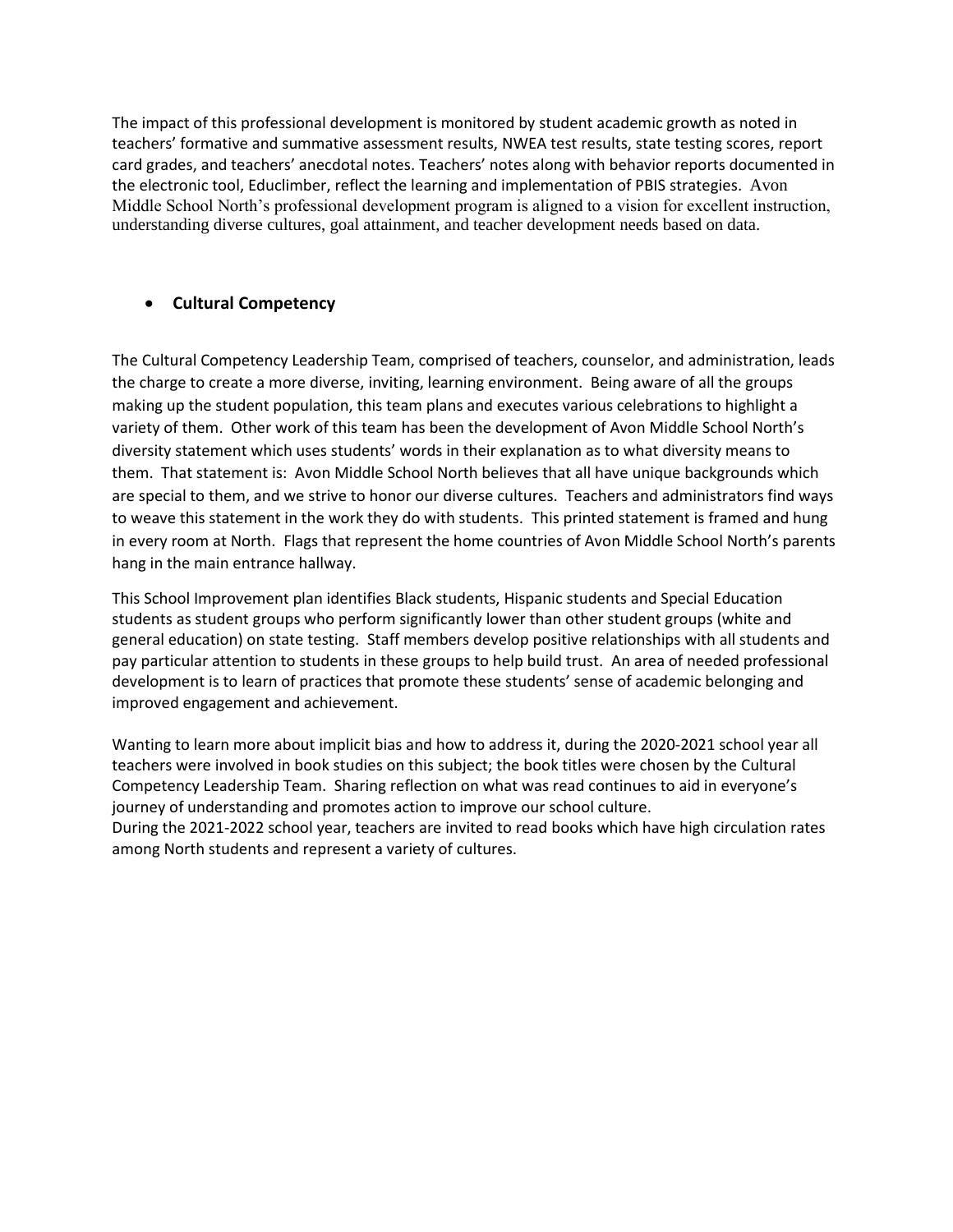The impact of this professional development is monitored by student academic growth as noted in teachers' formative and summative assessment results, NWEA test results, state testing scores, report card grades, and teachers' anecdotal notes. Teachers' notes along with behavior reports documented in the electronic tool, Educlimber, reflect the learning and implementation of PBIS strategies. Avon Middle School North's professional development program is aligned to a vision for excellent instruction, understanding diverse cultures, goal attainment, and teacher development needs based on data.

#### **Cultural Competency**

The Cultural Competency Leadership Team, comprised of teachers, counselor, and administration, leads the charge to create a more diverse, inviting, learning environment. Being aware of all the groups making up the student population, this team plans and executes various celebrations to highlight a variety of them. Other work of this team has been the development of Avon Middle School North's diversity statement which uses students' words in their explanation as to what diversity means to them. That statement is: Avon Middle School North believes that all have unique backgrounds which are special to them, and we strive to honor our diverse cultures. Teachers and administrators find ways to weave this statement in the work they do with students. This printed statement is framed and hung in every room at North. Flags that represent the home countries of Avon Middle School North's parents hang in the main entrance hallway.

This School Improvement plan identifies Black students, Hispanic students and Special Education students as student groups who perform significantly lower than other student groups (white and general education) on state testing. Staff members develop positive relationships with all students and pay particular attention to students in these groups to help build trust. An area of needed professional development is to learn of practices that promote these students' sense of academic belonging and improved engagement and achievement.

Wanting to learn more about implicit bias and how to address it, during the 2020-2021 school year all teachers were involved in book studies on this subject; the book titles were chosen by the Cultural Competency Leadership Team. Sharing reflection on what was read continues to aid in everyone's journey of understanding and promotes action to improve our school culture. During the 2021-2022 school year, teachers are invited to read books which have high circulation rates among North students and represent a variety of cultures.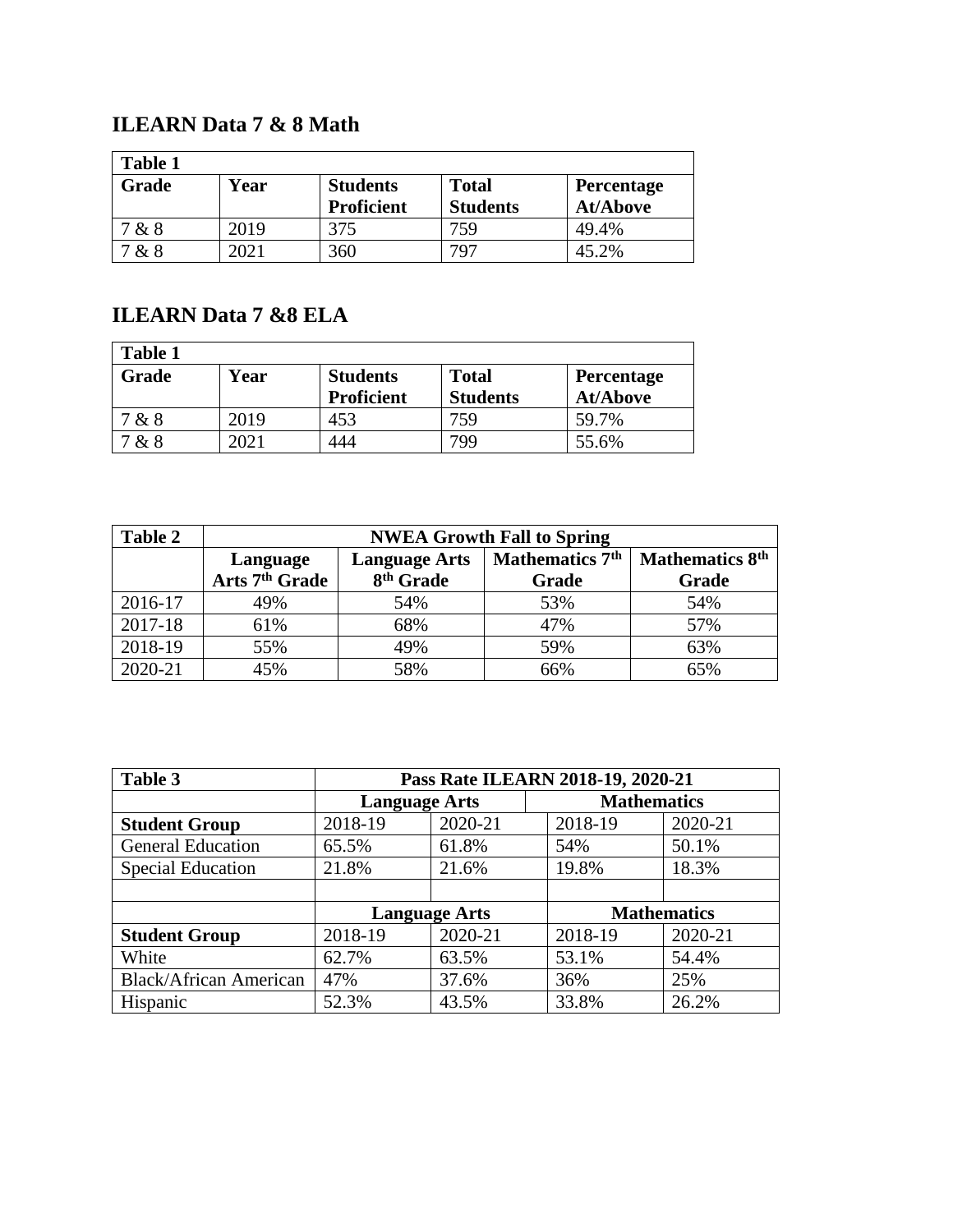### **ILEARN Data 7 & 8 Math**

| <b>Table 1</b> |      |                                      |                                 |                               |  |
|----------------|------|--------------------------------------|---------------------------------|-------------------------------|--|
| Grade          | Year | <b>Students</b><br><b>Proficient</b> | <b>Total</b><br><b>Students</b> | Percentage<br><b>At/Above</b> |  |
| &8             | 2019 | 375                                  | 759                             | 49.4%                         |  |
| & 8            | 2021 | 360                                  | 797                             | 45.2%                         |  |

## **ILEARN Data 7 &8 ELA**

| <b>Table 1</b> |      |                   |                 |                   |  |
|----------------|------|-------------------|-----------------|-------------------|--|
| Grade          | Year | <b>Students</b>   | <b>Total</b>    | <b>Percentage</b> |  |
|                |      | <b>Proficient</b> | <b>Students</b> | <b>At/Above</b>   |  |
| &8             | 2019 | 453               | 759             | 59.7%             |  |
| &8             | 2021 | 444               | 799             | 55.6%             |  |

| Table 2 | <b>NWEA Growth Fall to Spring</b> |                       |                             |                        |
|---------|-----------------------------------|-----------------------|-----------------------------|------------------------|
|         | <b>Language Arts</b><br>Language  |                       | Mathematics 7 <sup>th</sup> | <b>Mathematics 8th</b> |
|         | Arts 7 <sup>th</sup> Grade        | 8 <sup>th</sup> Grade | Grade                       | Grade                  |
| 2016-17 | 49%                               | 54%                   | 53%                         | 54%                    |
| 2017-18 | 61%                               | 68%                   | 47%                         | 57%                    |
| 2018-19 | 55%                               | 49%                   | 59%                         | 63%                    |
| 2020-21 | 45%                               | 58%                   | 66%                         | 65%                    |

| Table 3                       | Pass Rate ILEARN 2018-19, 2020-21 |         |                    |         |
|-------------------------------|-----------------------------------|---------|--------------------|---------|
|                               | <b>Language Arts</b>              |         | <b>Mathematics</b> |         |
| <b>Student Group</b>          | 2018-19                           | 2020-21 | 2018-19            | 2020-21 |
| <b>General Education</b>      | 65.5%                             | 61.8%   | 54%                | 50.1%   |
| <b>Special Education</b>      | 21.8%                             | 21.6%   | 19.8%              | 18.3%   |
|                               |                                   |         |                    |         |
|                               | <b>Language Arts</b>              |         | <b>Mathematics</b> |         |
| <b>Student Group</b>          | 2018-19                           | 2020-21 | 2018-19            | 2020-21 |
| White                         | 62.7%                             | 63.5%   | 53.1%              | 54.4%   |
| <b>Black/African American</b> | 47%                               | 37.6%   | 36%                | 25%     |
| Hispanic                      | 52.3%                             | 43.5%   | 33.8%              | 26.2%   |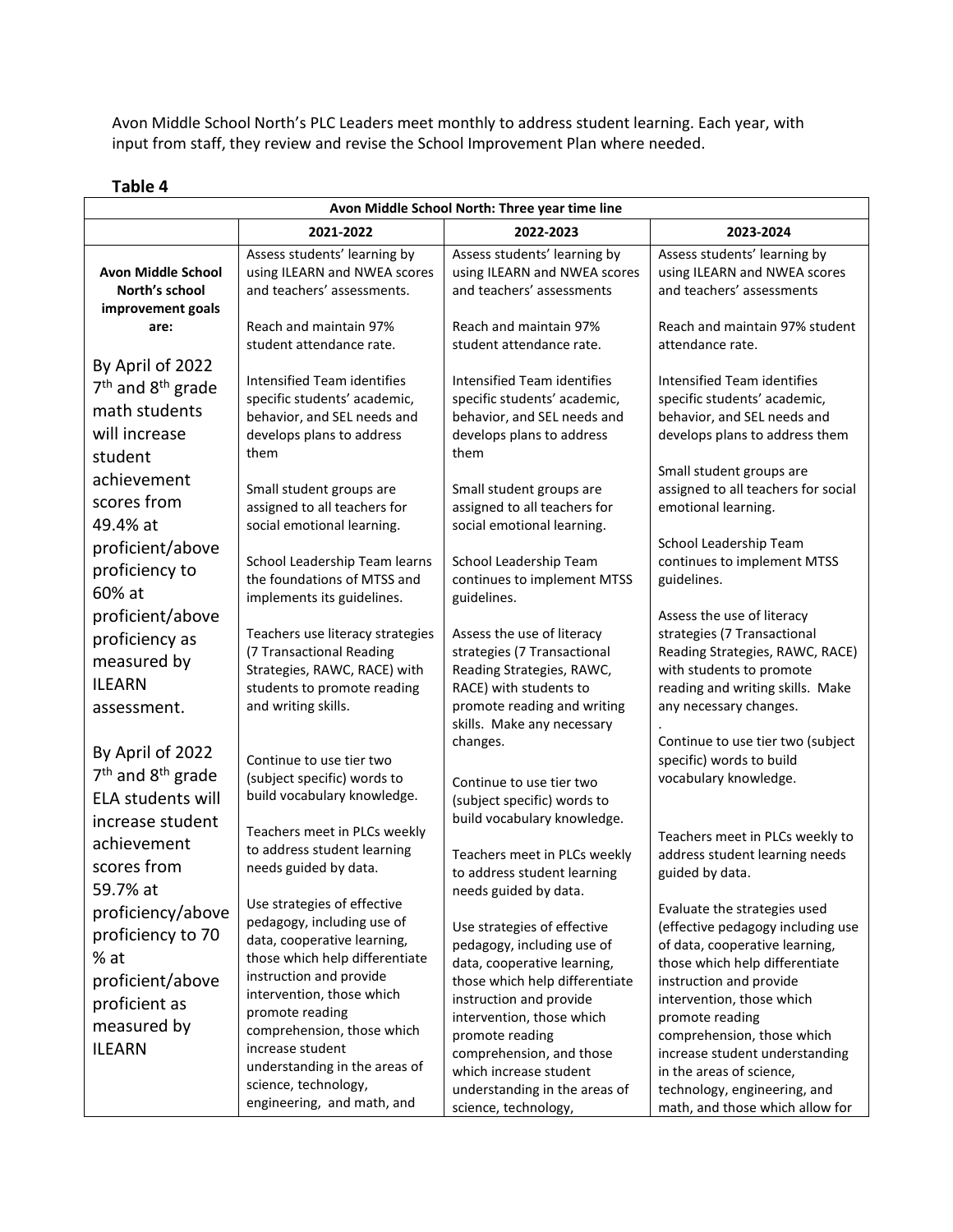Avon Middle School North's PLC Leaders meet monthly to address student learning. Each year, with input from staff, they review and revise the School Improvement Plan where needed.

| Avon Middle School North: Three year time line                                                                |                                                                                                                                                    |                                                                                                                                                                               |                                                                                                                                                                                        |  |
|---------------------------------------------------------------------------------------------------------------|----------------------------------------------------------------------------------------------------------------------------------------------------|-------------------------------------------------------------------------------------------------------------------------------------------------------------------------------|----------------------------------------------------------------------------------------------------------------------------------------------------------------------------------------|--|
|                                                                                                               | 2021-2022                                                                                                                                          | 2022-2023                                                                                                                                                                     | 2023-2024                                                                                                                                                                              |  |
| <b>Avon Middle School</b><br>North's school                                                                   | Assess students' learning by<br>using ILEARN and NWEA scores<br>and teachers' assessments.                                                         | Assess students' learning by<br>using ILEARN and NWEA scores<br>and teachers' assessments                                                                                     | Assess students' learning by<br>using ILEARN and NWEA scores<br>and teachers' assessments                                                                                              |  |
| improvement goals<br>are:                                                                                     | Reach and maintain 97%<br>student attendance rate.                                                                                                 | Reach and maintain 97%<br>student attendance rate.                                                                                                                            | Reach and maintain 97% student<br>attendance rate.                                                                                                                                     |  |
| By April of 2022<br>$7th$ and $8th$ grade<br>math students<br>will increase<br>student                        | Intensified Team identifies<br>specific students' academic,<br>behavior, and SEL needs and<br>develops plans to address<br>them                    | Intensified Team identifies<br>specific students' academic,<br>behavior, and SEL needs and<br>develops plans to address<br>them                                               | Intensified Team identifies<br>specific students' academic,<br>behavior, and SEL needs and<br>develops plans to address them                                                           |  |
| achievement<br>scores from<br>49.4% at                                                                        | Small student groups are<br>assigned to all teachers for<br>social emotional learning.                                                             | Small student groups are<br>assigned to all teachers for<br>social emotional learning.                                                                                        | Small student groups are<br>assigned to all teachers for social<br>emotional learning.<br>School Leadership Team                                                                       |  |
| proficient/above<br>proficiency to<br>60% at                                                                  | School Leadership Team learns<br>the foundations of MTSS and<br>implements its guidelines.                                                         | School Leadership Team<br>continues to implement MTSS<br>guidelines.                                                                                                          | continues to implement MTSS<br>guidelines.                                                                                                                                             |  |
| proficient/above<br>proficiency as<br>measured by<br><b>ILEARN</b><br>assessment.                             | Teachers use literacy strategies<br>(7 Transactional Reading<br>Strategies, RAWC, RACE) with<br>students to promote reading<br>and writing skills. | Assess the use of literacy<br>strategies (7 Transactional<br>Reading Strategies, RAWC,<br>RACE) with students to<br>promote reading and writing<br>skills. Make any necessary | Assess the use of literacy<br>strategies (7 Transactional<br>Reading Strategies, RAWC, RACE)<br>with students to promote<br>reading and writing skills. Make<br>any necessary changes. |  |
| By April of 2022<br>7 <sup>th</sup> and 8 <sup>th</sup> grade<br><b>ELA students will</b><br>increase student | Continue to use tier two<br>(subject specific) words to<br>build vocabulary knowledge.                                                             | changes.<br>Continue to use tier two<br>(subject specific) words to<br>build vocabulary knowledge.                                                                            | Continue to use tier two (subject<br>specific) words to build<br>vocabulary knowledge.                                                                                                 |  |
| achievement<br>scores from<br>59.7% at                                                                        | Teachers meet in PLCs weekly<br>to address student learning<br>needs guided by data.<br>Use strategies of effective                                | Teachers meet in PLCs weekly<br>to address student learning<br>needs guided by data.                                                                                          | Teachers meet in PLCs weekly to<br>address student learning needs<br>guided by data.                                                                                                   |  |
| proficiency/above<br>proficiency to 70<br>% at<br>proficient/above                                            | pedagogy, including use of<br>data, cooperative learning,<br>those which help differentiate<br>instruction and provide                             | Use strategies of effective<br>pedagogy, including use of<br>data, cooperative learning,<br>those which help differentiate                                                    | Evaluate the strategies used<br>(effective pedagogy including use<br>of data, cooperative learning,<br>those which help differentiate<br>instruction and provide                       |  |
| proficient as<br>measured by<br><b>ILEARN</b>                                                                 | intervention, those which<br>promote reading<br>comprehension, those which<br>increase student<br>understanding in the areas of                    | instruction and provide<br>intervention, those which<br>promote reading<br>comprehension, and those<br>which increase student                                                 | intervention, those which<br>promote reading<br>comprehension, those which<br>increase student understanding<br>in the areas of science,                                               |  |
|                                                                                                               | science, technology,<br>engineering, and math, and                                                                                                 | understanding in the areas of<br>science, technology,                                                                                                                         | technology, engineering, and<br>math, and those which allow for                                                                                                                        |  |

#### **Table 4**